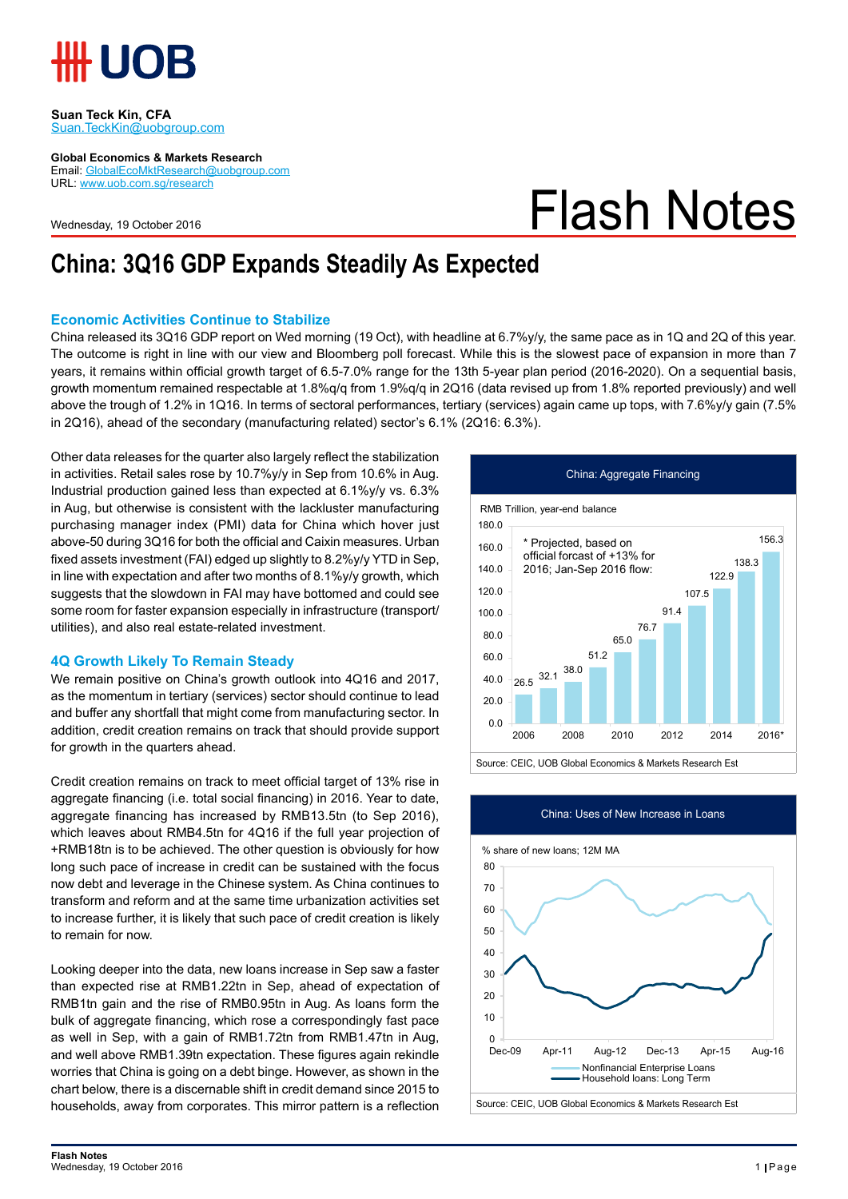

#### **Suan Teck Kin, CFA** Suan.TeckKin@uobgroup.com

**Global Economics & Markets Research**

Email: GlobalEcoMktResearch@uobgroup.com URL: www.uob.com.sg/research

Wednesday, 19 October 2016

Flash Notes

## **China: 3Q16 GDP Expands Steadily As Expected**

#### **Economic Activities Continue to Stabilize**

China released its 3Q16 GDP report on Wed morning (19 Oct), with headline at 6.7%y/y, the same pace as in 1Q and 2Q of this year. The outcome is right in line with our view and Bloomberg poll forecast. While this is the slowest pace of expansion in more than 7 years, it remains within official growth target of 6.5-7.0% range for the 13th 5-year plan period (2016-2020). On a sequential basis, growth momentum remained respectable at 1.8%q/q from 1.9%q/q in 2Q16 (data revised up from 1.8% reported previously) and well above the trough of 1.2% in 1Q16. In terms of sectoral performances, tertiary (services) again came up tops, with 7.6%y/y gain (7.5% in 2Q16), ahead of the secondary (manufacturing related) sector's 6.1% (2Q16: 6.3%).

Other data releases for the quarter also largely reflect the stabilization in activities. Retail sales rose by 10.7%y/y in Sep from 10.6% in Aug. Industrial production gained less than expected at 6.1%y/y vs. 6.3% in Aug, but otherwise is consistent with the lackluster manufacturing purchasing manager index (PMI) data for China which hover just above-50 during 3Q16 for both the official and Caixin measures. Urban fixed assets investment (FAI) edged up slightly to 8.2%y/y YTD in Sep, in line with expectation and after two months of 8.1%y/y growth, which suggests that the slowdown in FAI may have bottomed and could see some room for faster expansion especially in infrastructure (transport/ utilities), and also real estate-related investment.

#### **4Q Growth Likely To Remain Steady**

We remain positive on China's growth outlook into 4Q16 and 2017, as the momentum in tertiary (services) sector should continue to lead and buffer any shortfall that might come from manufacturing sector. In addition, credit creation remains on track that should provide support for growth in the quarters ahead.

Credit creation remains on track to meet official target of 13% rise in aggregate financing (i.e. total social financing) in 2016. Year to date, aggregate financing has increased by RMB13.5tn (to Sep 2016), which leaves about RMB4.5tn for 4Q16 if the full year projection of +RMB18tn is to be achieved. The other question is obviously for how long such pace of increase in credit can be sustained with the focus now debt and leverage in the Chinese system. As China continues to transform and reform and at the same time urbanization activities set to increase further, it is likely that such pace of credit creation is likely to remain for now.

Looking deeper into the data, new loans increase in Sep saw a faster than expected rise at RMB1.22tn in Sep, ahead of expectation of RMB1tn gain and the rise of RMB0.95tn in Aug. As loans form the bulk of aggregate financing, which rose a correspondingly fast pace as well in Sep, with a gain of RMB1.72tn from RMB1.47tn in Aug, and well above RMB1.39tn expectation. These figures again rekindle worries that China is going on a debt binge. However, as shown in the chart below, there is a discernable shift in credit demand since 2015 to households, away from corporates. This mirror pattern is a reflection





China: Uses of New Increase in Loans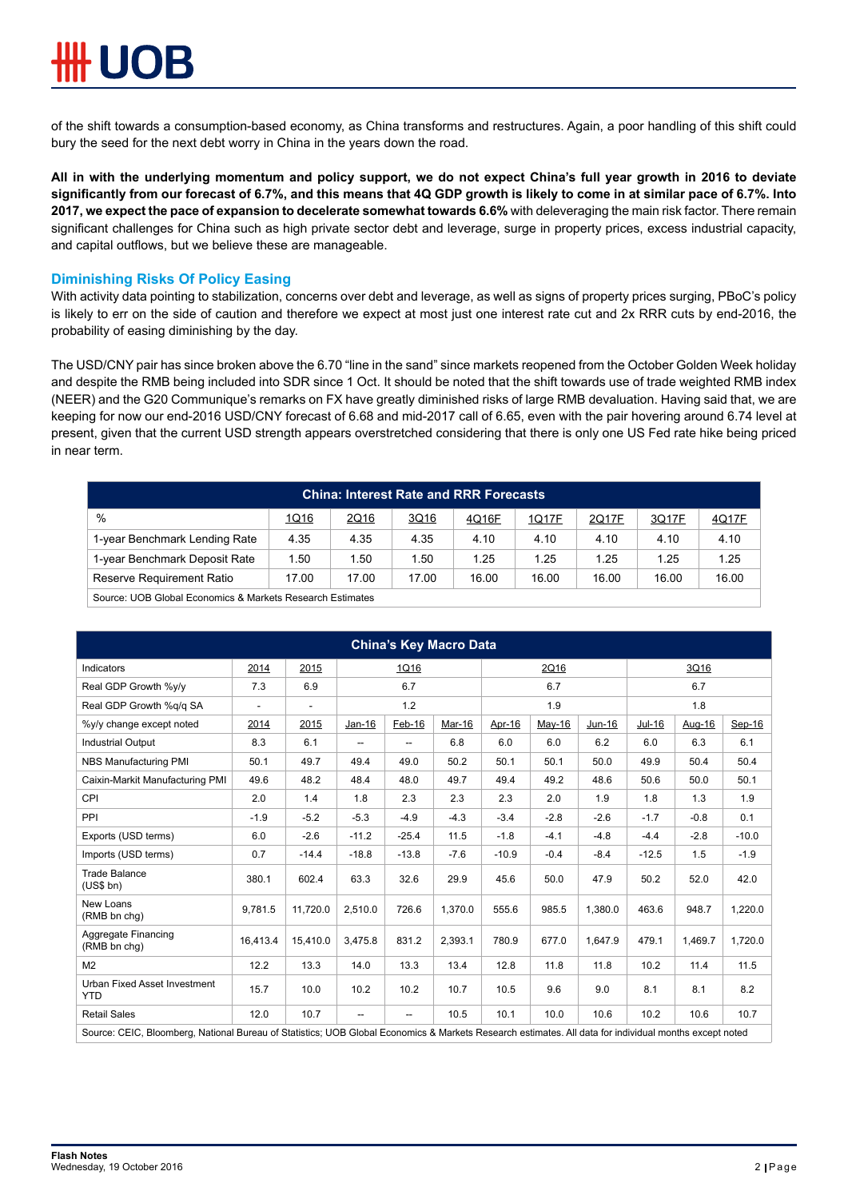of the shift towards a consumption-based economy, as China transforms and restructures. Again, a poor handling of this shift could bury the seed for the next debt worry in China in the years down the road.

**All in with the underlying momentum and policy support, we do not expect China's full year growth in 2016 to deviate significantly from our forecast of 6.7%, and this means that 4Q GDP growth is likely to come in at similar pace of 6.7%. Into 2017, we expect the pace of expansion to decelerate somewhat towards 6.6%** with deleveraging the main risk factor. There remain significant challenges for China such as high private sector debt and leverage, surge in property prices, excess industrial capacity, and capital outflows, but we believe these are manageable.

### **Diminishing Risks Of Policy Easing**

With activity data pointing to stabilization, concerns over debt and leverage, as well as signs of property prices surging, PBoC's policy is likely to err on the side of caution and therefore we expect at most just one interest rate cut and 2x RRR cuts by end-2016, the probability of easing diminishing by the day.

The USD/CNY pair has since broken above the 6.70 "line in the sand" since markets reopened from the October Golden Week holiday and despite the RMB being included into SDR since 1 Oct. It should be noted that the shift towards use of trade weighted RMB index (NEER) and the G20 Communique's remarks on FX have greatly diminished risks of large RMB devaluation. Having said that, we are keeping for now our end-2016 USD/CNY forecast of 6.68 and mid-2017 call of 6.65, even with the pair hovering around 6.74 level at present, given that the current USD strength appears overstretched considering that there is only one US Fed rate hike being priced in near term.

| <b>China: Interest Rate and RRR Forecasts</b>             |       |       |       |       |       |       |       |       |  |
|-----------------------------------------------------------|-------|-------|-------|-------|-------|-------|-------|-------|--|
| $\%$                                                      | 1Q16  | 2Q16  | 3Q16  | 4Q16F | 1Q17F | 2Q17F | 3Q17F | 4Q17F |  |
| 1-year Benchmark Lending Rate                             | 4.35  | 4.35  | 4.35  | 4.10  | 4.10  | 4.10  | 4.10  | 4.10  |  |
| 1-year Benchmark Deposit Rate                             | 1.50  | 1.50  | 1.50  | 1.25  | 1.25  | 1.25  | 1.25  | 1.25  |  |
| Reserve Requirement Ratio                                 | 17.00 | 17.00 | 17.00 | 16.00 | 16.00 | 16.00 | 16.00 | 16.00 |  |
| Source: UOB Global Economics & Markets Research Estimates |       |       |       |       |       |       |       |       |  |

| <b>China's Key Macro Data</b>                                                                                                                          |          |                          |          |                |         |         |        |         |         |         |         |
|--------------------------------------------------------------------------------------------------------------------------------------------------------|----------|--------------------------|----------|----------------|---------|---------|--------|---------|---------|---------|---------|
| Indicators                                                                                                                                             | 2014     | 2015                     | 1Q16     |                |         | 2Q16    |        |         | 3Q16    |         |         |
| Real GDP Growth %v/v                                                                                                                                   | 7.3      | 6.9                      | 6.7      |                |         | 6.7     |        |         | 6.7     |         |         |
| Real GDP Growth %q/q SA                                                                                                                                | ÷.       | $\overline{\phantom{a}}$ | 1.2      |                |         | 1.9     |        |         | 1.8     |         |         |
| %y/y change except noted                                                                                                                               | 2014     | 2015                     | $Jan-16$ | $Feb-16$       | Mar-16  | Apr-16  | May-16 | Jun-16  | Jul-16  | Aug-16  | Sep-16  |
| <b>Industrial Output</b>                                                                                                                               | 8.3      | 6.1                      | $-$      | $\overline{a}$ | 6.8     | 6.0     | 6.0    | 6.2     | 6.0     | 6.3     | 6.1     |
| NBS Manufacturing PMI                                                                                                                                  | 50.1     | 49.7                     | 49.4     | 49.0           | 50.2    | 50.1    | 50.1   | 50.0    | 49.9    | 50.4    | 50.4    |
| Caixin-Markit Manufacturing PMI                                                                                                                        | 49.6     | 48.2                     | 48.4     | 48.0           | 49.7    | 49.4    | 49.2   | 48.6    | 50.6    | 50.0    | 50.1    |
| <b>CPI</b>                                                                                                                                             | 2.0      | 1.4                      | 1.8      | 2.3            | 2.3     | 2.3     | 2.0    | 1.9     | 1.8     | 1.3     | 1.9     |
| PPI                                                                                                                                                    | $-1.9$   | $-5.2$                   | $-5.3$   | $-4.9$         | $-4.3$  | $-3.4$  | $-2.8$ | $-2.6$  | $-1.7$  | $-0.8$  | 0.1     |
| Exports (USD terms)                                                                                                                                    | 6.0      | $-2.6$                   | $-11.2$  | $-25.4$        | 11.5    | $-1.8$  | $-4.1$ | $-4.8$  | $-4.4$  | $-2.8$  | $-10.0$ |
| Imports (USD terms)                                                                                                                                    | 0.7      | $-14.4$                  | $-18.8$  | $-13.8$        | $-7.6$  | $-10.9$ | $-0.4$ | $-8.4$  | $-12.5$ | 1.5     | $-1.9$  |
| <b>Trade Balance</b><br>(US\$ bh)                                                                                                                      | 380.1    | 602.4                    | 63.3     | 32.6           | 29.9    | 45.6    | 50.0   | 47.9    | 50.2    | 52.0    | 42.0    |
| New Loans<br>(RMB bn chq)                                                                                                                              | 9,781.5  | 11,720.0                 | 2,510.0  | 726.6          | 1,370.0 | 555.6   | 985.5  | 1,380.0 | 463.6   | 948.7   | 1,220.0 |
| Aggregate Financing<br>(RMB bn chq)                                                                                                                    | 16.413.4 | 15.410.0                 | 3.475.8  | 831.2          | 2,393.1 | 780.9   | 677.0  | 1.647.9 | 479.1   | 1.469.7 | 1.720.0 |
| M <sub>2</sub>                                                                                                                                         | 12.2     | 13.3                     | 14.0     | 13.3           | 13.4    | 12.8    | 11.8   | 11.8    | 10.2    | 11.4    | 11.5    |
| <b>Urban Fixed Asset Investment</b><br><b>YTD</b>                                                                                                      | 15.7     | 10.0                     | 10.2     | 10.2           | 10.7    | 10.5    | 9.6    | 9.0     | 8.1     | 8.1     | 8.2     |
| <b>Retail Sales</b>                                                                                                                                    | 12.0     | 10.7                     | --       | --             | 10.5    | 10.1    | 10.0   | 10.6    | 10.2    | 10.6    | 10.7    |
| Source: CEIC, Bloomberg, National Bureau of Statistics; UOB Global Economics & Markets Research estimates. All data for individual months except noted |          |                          |          |                |         |         |        |         |         |         |         |